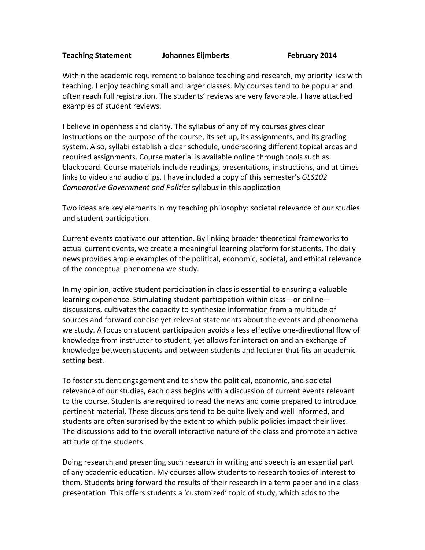## **Teaching Statement Johannes Eijmberts February 2014**

Within the academic requirement to balance teaching and research, my priority lies with teaching. I enjoy teaching small and larger classes. My courses tend to be popular and often reach full registration. The students' reviews are very favorable. I have attached examples of student reviews.

I believe in openness and clarity. The syllabus of any of my courses gives clear instructions on the purpose of the course, its set up, its assignments, and its grading system. Also, syllabi establish a clear schedule, underscoring different topical areas and required assignments. Course material is available online through tools such as blackboard. Course materials include readings, presentations, instructions, and at times links to video and audio clips. I have included a copy of this semester's *GLS102 Comparative Government and Politics syllabus in this application* 

Two ideas are key elements in my teaching philosophy: societal relevance of our studies and student participation.

Current events captivate our attention. By linking broader theoretical frameworks to actual current events, we create a meaningful learning platform for students. The daily news provides ample examples of the political, economic, societal, and ethical relevance of the conceptual phenomena we study.

In my opinion, active student participation in class is essential to ensuring a valuable learning experience. Stimulating student participation within class—or online discussions, cultivates the capacity to synthesize information from a multitude of sources and forward concise yet relevant statements about the events and phenomena we study. A focus on student participation avoids a less effective one-directional flow of knowledge from instructor to student, yet allows for interaction and an exchange of knowledge between students and between students and lecturer that fits an academic setting best.

To foster student engagement and to show the political, economic, and societal relevance of our studies, each class begins with a discussion of current events relevant to the course. Students are required to read the news and come prepared to introduce pertinent material. These discussions tend to be quite lively and well informed, and students are often surprised by the extent to which public policies impact their lives. The discussions add to the overall interactive nature of the class and promote an active attitude of the students.

Doing research and presenting such research in writing and speech is an essential part of any academic education. My courses allow students to research topics of interest to them. Students bring forward the results of their research in a term paper and in a class presentation. This offers students a 'customized' topic of study, which adds to the